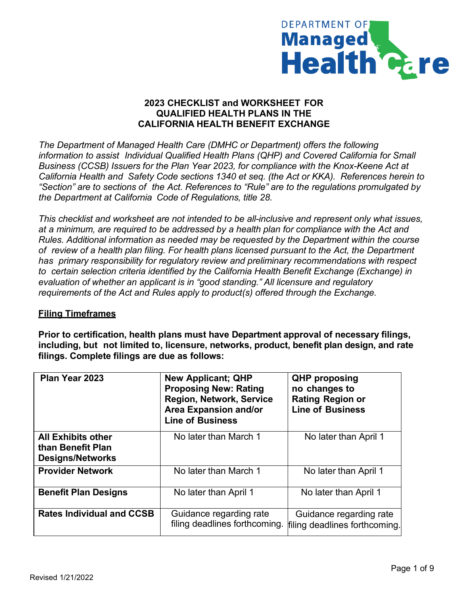

## **2023 CHECKLIST and WORKSHEET FOR QUALIFIED HEALTH PLANS IN THE CALIFORNIA HEALTH BENEFIT EXCHANGE**

*The Department of Managed Health Care (DMHC or Department) offers the following information to assist Individual Qualified Health Plans (QHP) and Covered California for Small Business (CCSB) Issuers for the Plan Year 2023, for compliance with the Knox-Keene Act at California Health and Safety Code sections 1340 et seq. (the Act or KKA). References herein to "Section" are to sections of the Act. References to "Rule" are to the regulations promulgated by the Department at California Code of Regulations, title 28.*

*This checklist and worksheet are not intended to be all-inclusive and represent only what issues, at a minimum, are required to be addressed by a health plan for compliance with the Act and Rules. Additional information as needed may be requested by the Department within the course of review of a health plan filing. For health plans licensed pursuant to the Act, the Department has primary responsibility for regulatory review and preliminary recommendations with respect to certain selection criteria identified by the California Health Benefit Exchange (Exchange) in evaluation of whether an applicant is in "good standing." All licensure and regulatory requirements of the Act and Rules apply to product(s) offered through the Exchange.*

### **Filing Timeframes**

**Prior to certification, health plans must have Department approval of necessary filings, including, but not limited to, licensure, networks, product, benefit plan design, and rate filings. Complete filings are due as follows:**

| Plan Year 2023                                                            | <b>New Applicant; QHP</b><br><b>Proposing New: Rating</b><br><b>Region, Network, Service</b><br><b>Area Expansion and/or</b><br><b>Line of Business</b> | <b>QHP</b> proposing<br>no changes to<br><b>Rating Region or</b><br><b>Line of Business</b> |
|---------------------------------------------------------------------------|---------------------------------------------------------------------------------------------------------------------------------------------------------|---------------------------------------------------------------------------------------------|
| <b>All Exhibits other</b><br>than Benefit Plan<br><b>Designs/Networks</b> | No later than March 1                                                                                                                                   | No later than April 1                                                                       |
| <b>Provider Network</b>                                                   | No later than March 1                                                                                                                                   | No later than April 1                                                                       |
| <b>Benefit Plan Designs</b>                                               | No later than April 1                                                                                                                                   | No later than April 1                                                                       |
| <b>Rates Individual and CCSB</b>                                          | Guidance regarding rate<br>filing deadlines forthcoming.                                                                                                | Guidance regarding rate<br>filing deadlines forthcoming.                                    |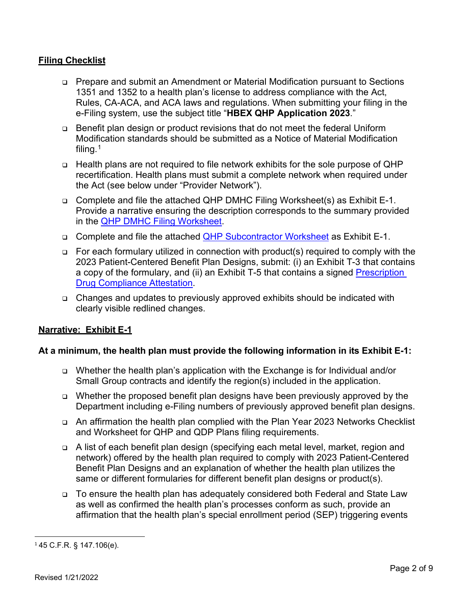## **Filing Checklist**

- Prepare and submit an Amendment or Material Modification pursuant to Sections 1351 and 1352 to a health plan's license to address compliance with the Act, Rules, CA-ACA, and ACA laws and regulations. When submitting your filing in the e-Filing system, use the subject title "**HBEX QHP Application 2023**."
- Benefit plan design or product revisions that do not meet the federal Uniform Modification standards should be submitted as a Notice of Material Modification filing.[1](#page-1-0)
- □ Health plans are not required to file network exhibits for the sole purpose of QHP recertification. Health plans must submit a complete network when required under the Act (see below under "Provider Network").
- □ Complete and file the attached QHP DMHC Filing Worksheet(s) as Exhibit E-1. Provide a narrative ensuring the description corresponds to the summary provided in the [QHP DMHC Filing Worksheet.](https://dmhc.ca.gov/Portals/0/Docs/OPL/QHP%20Filing%20Worksheet.pdf?ver=2022-01-31-103819-050)
- Complete and file the attached [QHP Subcontractor Worksheet](https://dmhc.ca.gov/Portals/0/Docs/OPL/QHP%20Subcontractor%20Worksheet.pdf?ver=2022-01-31-103819-020) as Exhibit E-1.
- $\Box$  For each formulary utilized in connection with product(s) required to comply with the 2023 Patient-Centered Benefit Plan Designs, submit: (i) an Exhibit T-3 that contains a copy of the formulary, and (ii) an Exhibit T-5 that contains a signed [Prescription](https://dmhc.ca.gov/Portals/0/Docs/OPL/QHP%20Prescription%20Drug%20Attestation.pdf?ver=2022-01-31-103544-553)  [Drug Compliance Attestation.](https://dmhc.ca.gov/Portals/0/Docs/OPL/QHP%20Prescription%20Drug%20Attestation.pdf?ver=2022-01-31-103544-553)
- Changes and updates to previously approved exhibits should be indicated with clearly visible redlined changes.

# **Narrative: Exhibit E-1**

### **At a minimum, the health plan must provide the following information in its Exhibit E-1:**

- Whether the health plan's application with the Exchange is for Individual and/or Small Group contracts and identify the region(s) included in the application.
- Whether the proposed benefit plan designs have been previously approved by the Department including e-Filing numbers of previously approved benefit plan designs.
- An affirmation the health plan complied with the Plan Year 2023 Networks Checklist and Worksheet for QHP and QDP Plans filing requirements.
- A list of each benefit plan design (specifying each metal level, market, region and network) offered by the health plan required to comply with 2023 Patient-Centered Benefit Plan Designs and an explanation of whether the health plan utilizes the same or different formularies for different benefit plan designs or product(s).
- To ensure the health plan has adequately considered both Federal and State Law as well as confirmed the health plan's processes conform as such, provide an affirmation that the health plan's special enrollment period (SEP) triggering events

<span id="page-1-0"></span><sup>1</sup> 45 C.F.R. § 147.106(e).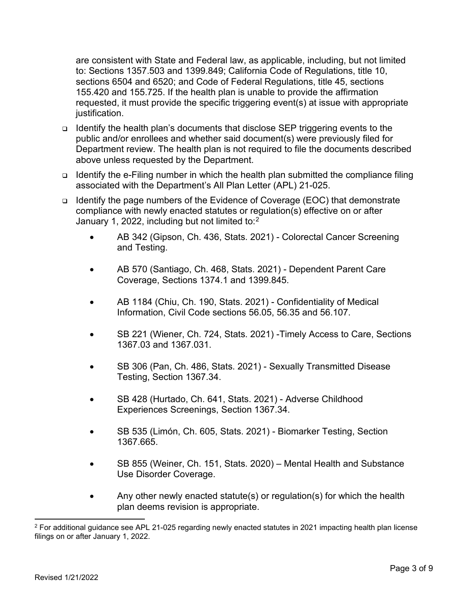are consistent with State and Federal law, as applicable, including, but not limited to: Sections 1357.503 and 1399.849; California Code of Regulations, title 10, sections 6504 and 6520; and Code of Federal Regulations, title 45, sections 155.420 and 155.725. If the health plan is unable to provide the affirmation requested, it must provide the specific triggering event(s) at issue with appropriate justification.

- Identify the health plan's documents that disclose SEP triggering events to the public and/or enrollees and whether said document(s) were previously filed for Department review. The health plan is not required to file the documents described above unless requested by the Department.
- Identify the e-Filing number in which the health plan submitted the compliance filing associated with the Department's All Plan Letter (APL) 21-025.
- **□** Identify the page numbers of the Evidence of Coverage (EOC) that demonstrate compliance with newly enacted statutes or regulation(s) effective on or after January 1, [2](#page-2-0)022, including but not limited to: $2$ 
	- AB 342 (Gipson, Ch. 436, Stats. 2021) Colorectal Cancer Screening and Testing.
	- AB 570 (Santiago, Ch. 468, Stats. 2021) Dependent Parent Care Coverage, Sections 1374.1 and 1399.845.
	- AB 1184 (Chiu, Ch. 190, Stats. 2021) Confidentiality of Medical Information, Civil Code sections 56.05, 56.35 and 56.107.
	- SB 221 (Wiener, Ch. 724, Stats. 2021) -Timely Access to Care, Sections 1367.03 and 1367.031.
	- SB 306 (Pan, Ch. 486, Stats. 2021) Sexually Transmitted Disease Testing, Section 1367.34.
	- SB 428 (Hurtado, Ch. 641, Stats. 2021) Adverse Childhood Experiences Screenings, Section 1367.34.
	- SB 535 (Limón, Ch. 605, Stats. 2021) Biomarker Testing, Section 1367.665.
	- SB 855 (Weiner, Ch. 151, Stats. 2020) Mental Health and Substance Use Disorder Coverage.
	- Any other newly enacted statute(s) or regulation(s) for which the health plan deems revision is appropriate.

<span id="page-2-0"></span><sup>&</sup>lt;sup>2</sup> For additional guidance see APL 21-025 regarding newly enacted statutes in 2021 impacting health plan license filings on or after January 1, 2022.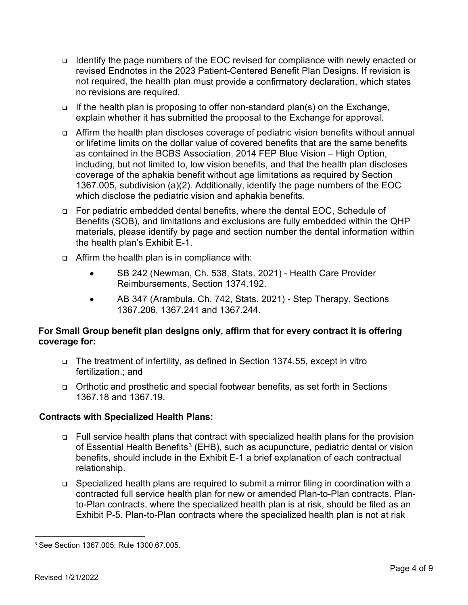- Identify the page numbers of the EOC revised for compliance with newly enacted or revised Endnotes in the 2023 Patient-Centered Benefit Plan Designs. If revision is not required, the health plan must provide a confirmatory declaration, which states no revisions are required.
- $\Box$  If the health plan is proposing to offer non-standard plan(s) on the Exchange, explain whether it has submitted the proposal to the Exchange for approval.
- □ Affirm the health plan discloses coverage of pediatric vision benefits without annual or lifetime limits on the dollar value of covered benefits that are the same benefits as contained in the BCBS Association, 2014 FEP Blue Vision – High Option, including, but not limited to, low vision benefits, and that the health plan discloses coverage of the aphakia benefit without age limitations as required by Section 1367.005, subdivision (a)(2). Additionally, identify the page numbers of the EOC which disclose the pediatric vision and aphakia benefits.
- For pediatric embedded dental benefits, where the dental EOC, Schedule of Benefits (SOB), and limitations and exclusions are fully embedded within the QHP materials, please identify by page and section number the dental information within the health plan's Exhibit E-1.
- Affirm the health plan is in compliance with:
	- SB 242 (Newman, Ch. 538, Stats. 2021) Health Care Provider Reimbursements, Section 1374.192.
	- AB 347 (Arambula, Ch. 742, Stats. 2021) Step Therapy, Sections 1367.206, 1367.241 and 1367.244.

# **For Small Group benefit plan designs only, affirm that for every contract it is offering coverage for:**

- The treatment of infertility, as defined in Section 1374.55, except in vitro fertilization.; and
- Orthotic and prosthetic and special footwear benefits, as set forth in Sections 1367.18 and 1367.19.

# **Contracts with Specialized Health Plans:**

- □ Full service health plans that contract with specialized health plans for the provision of Essential Health Benefits $^3$  $^3$  (EHB), such as acupuncture, pediatric dental or vision benefits, should include in the Exhibit E-1 a brief explanation of each contractual relationship.
- □ Specialized health plans are required to submit a mirror filing in coordination with a contracted full service health plan for new or amended Plan-to-Plan contracts. Planto-Plan contracts, where the specialized health plan is at risk, should be filed as an Exhibit P-5. Plan-to-Plan contracts where the specialized health plan is not at risk

<span id="page-3-0"></span><sup>3</sup> See Section 1367.005; Rule 1300.67.005.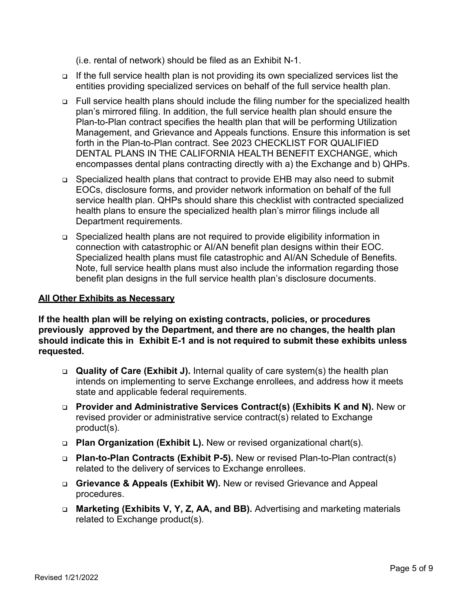(i.e. rental of network) should be filed as an Exhibit N-1.

- □ If the full service health plan is not providing its own specialized services list the entities providing specialized services on behalf of the full service health plan.
- □ Full service health plans should include the filing number for the specialized health plan's mirrored filing. In addition, the full service health plan should ensure the Plan-to-Plan contract specifies the health plan that will be performing Utilization Management, and Grievance and Appeals functions. Ensure this information is set forth in the Plan-to-Plan contract. See 2023 CHECKLIST FOR QUALIFIED DENTAL PLANS IN THE CALIFORNIA HEALTH BENEFIT EXCHANGE, which encompasses dental plans contracting directly with a) the Exchange and b) QHPs.
- Specialized health plans that contract to provide EHB may also need to submit EOCs, disclosure forms, and provider network information on behalf of the full service health plan. QHPs should share this checklist with contracted specialized health plans to ensure the specialized health plan's mirror filings include all Department requirements.
- Specialized health plans are not required to provide eligibility information in connection with catastrophic or AI/AN benefit plan designs within their EOC. Specialized health plans must file catastrophic and AI/AN Schedule of Benefits. Note, full service health plans must also include the information regarding those benefit plan designs in the full service health plan's disclosure documents.

### **All Other Exhibits as Necessary**

**If the health plan will be relying on existing contracts, policies, or procedures previously approved by the Department, and there are no changes, the health plan should indicate this in Exhibit E-1 and is not required to submit these exhibits unless requested.**

- **Quality of Care (Exhibit J).** Internal quality of care system(s) the health plan intends on implementing to serve Exchange enrollees, and address how it meets state and applicable federal requirements.
- **Provider and Administrative Services Contract(s) (Exhibits K and N).** New or revised provider or administrative service contract(s) related to Exchange product(s).
- **Plan Organization (Exhibit L).** New or revised organizational chart(s).
- **Plan-to-Plan Contracts (Exhibit P-5).** New or revised Plan-to-Plan contract(s) related to the delivery of services to Exchange enrollees.
- **Grievance & Appeals (Exhibit W).** New or revised Grievance and Appeal procedures.
- **Marketing (Exhibits V, Y, Z, AA, and BB).** Advertising and marketing materials related to Exchange product(s).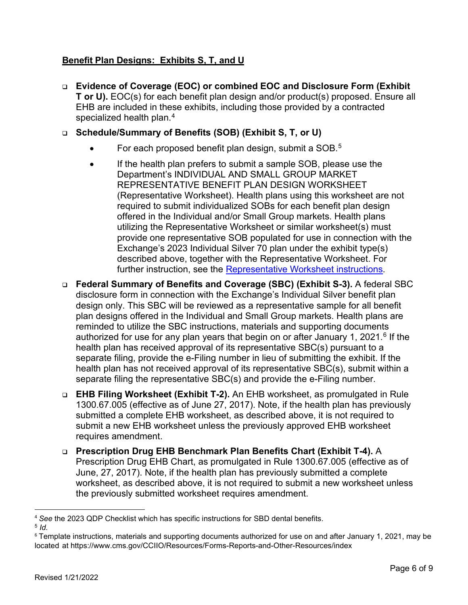# **Benefit Plan Designs: Exhibits S, T, and U**

- **Evidence of Coverage (EOC) or combined EOC and Disclosure Form (Exhibit T or U).** EOC(s) for each benefit plan design and/or product(s) proposed. Ensure all EHB are included in these exhibits, including those provided by a contracted specialized health plan.<sup>[4](#page-5-0)</sup>
- **Schedule/Summary of Benefits (SOB) (Exhibit S, T, or U)** 
	- For each proposed benefit plan design, submit a SOB.<sup>[5](#page-5-1)</sup>
	- If the health plan prefers to submit a sample SOB, please use the Department's INDIVIDUAL AND SMALL GROUP MARKET REPRESENTATIVE BENEFIT PLAN DESIGN WORKSHEET (Representative Worksheet). Health plans using this worksheet are not required to submit individualized SOBs for each benefit plan design offered in the Individual and/or Small Group markets. Health plans utilizing the Representative Worksheet or similar worksheet(s) must provide one representative SOB populated for use in connection with the Exchange's 2023 Individual Silver 70 plan under the exhibit type(s) described above, together with the Representative Worksheet. For further instruction, see the [Representative Worksheet](https://dmhc.ca.gov/Portals/0/Docs/OPL/Instructions%20for%20Individual%20and%20Small%20Group%20Market%20Representative%20Benefit%20Plan%20Design%20Worksheet.pdf?ver=2022-01-31-103335-687) instructions.
- **Federal Summary of Benefits and Coverage (SBC) (Exhibit S-3).** A federal SBC disclosure form in connection with the Exchange's Individual Silver benefit plan design only. This SBC will be reviewed as a representative sample for all benefit plan designs offered in the Individual and Small Group markets. Health plans are reminded to utilize the SBC instructions, materials and supporting documents authorized for use for any plan years that begin on or after January 1, 2021.<sup>[6](#page-5-2)</sup> If the health plan has received approval of its representative SBC(s) pursuant to a separate filing, provide the e-Filing number in lieu of submitting the exhibit. If the health plan has not received approval of its representative SBC(s), submit within a separate filing the representative SBC(s) and provide the e-Filing number.
- **EHB Filing Worksheet (Exhibit T-2).** An EHB worksheet, as promulgated in Rule 1300.67.005 (effective as of June 27, 2017). Note, if the health plan has previously submitted a complete EHB worksheet, as described above, it is not required to submit a new EHB worksheet unless the previously approved EHB worksheet requires amendment.
- **Prescription Drug EHB Benchmark Plan Benefits Chart (Exhibit T-4).** A Prescription Drug EHB Chart, as promulgated in Rule 1300.67.005 (effective as of June, 27, 2017). Note, if the health plan has previously submitted a complete worksheet, as described above, it is not required to submit a new worksheet unless the previously submitted worksheet requires amendment.

<span id="page-5-0"></span><sup>4</sup> *See* the 2023 QDP Checklist which has specific instructions for SBD dental benefits. <sup>5</sup> *Id.*

<span id="page-5-2"></span><span id="page-5-1"></span><sup>6</sup> Template instructions, materials and supporting documents authorized for use on and after January 1, 2021, may be located at https://www.cms.gov/CCIIO/Resources/Forms-Reports-and-Other-Resources/index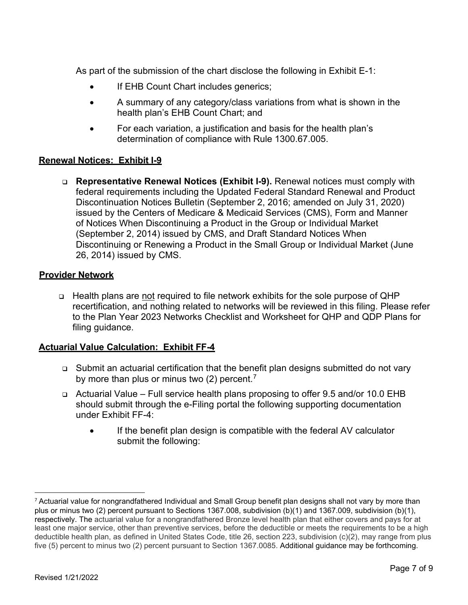As part of the submission of the chart disclose the following in Exhibit E-1:

- If EHB Count Chart includes generics;
- A summary of any category/class variations from what is shown in the health plan's EHB Count Chart; and
- For each variation, a justification and basis for the health plan's determination of compliance with Rule 1300.67.005.

### **Renewal Notices: Exhibit I-9**

 **Representative Renewal Notices (Exhibit I-9).** Renewal notices must comply with federal requirements including the Updated Federal Standard Renewal and Product Discontinuation Notices Bulletin (September 2, 2016; amended on July 31, 2020) issued by the Centers of Medicare & Medicaid Services (CMS), Form and Manner of Notices When Discontinuing a Product in the Group or Individual Market (September 2, 2014) issued by CMS, and Draft Standard Notices When Discontinuing or Renewing a Product in the Small Group or Individual Market (June 26, 2014) issued by CMS.

### **Provider Network**

□ Health plans are not required to file network exhibits for the sole purpose of QHP recertification, and nothing related to networks will be reviewed in this filing. Please refer to the Plan Year 2023 Networks Checklist and Worksheet for QHP and QDP Plans for filing guidance.

### **Actuarial Value Calculation: Exhibit FF-4**

- Submit an actuarial certification that the benefit plan designs submitted do not vary by more than plus or minus two (2) percent.<sup>[7](#page-6-0)</sup>
- Actuarial Value Full service health plans proposing to offer 9.5 and/or 10.0 EHB should submit through the e-Filing portal the following supporting documentation under Exhibit FF-4:
	- If the benefit plan design is compatible with the federal AV calculator submit the following:

<span id="page-6-0"></span> $7$  Actuarial value for nongrandfathered Individual and Small Group benefit plan designs shall not vary by more than plus or minus two (2) percent pursuant to Sections 1367.008, subdivision (b)(1) and 1367.009, subdivision (b)(1), respectively. The actuarial value for a nongrandfathered Bronze level health plan that either covers and pays for at least one major service, other than preventive services, before the deductible or meets the requirements to be a high deductible health plan, as defined in United States Code, title 26, section 223, subdivision (c)(2), may range from plus five (5) percent to minus two (2) percent pursuant to Section 1367.0085. Additional guidance may be forthcoming.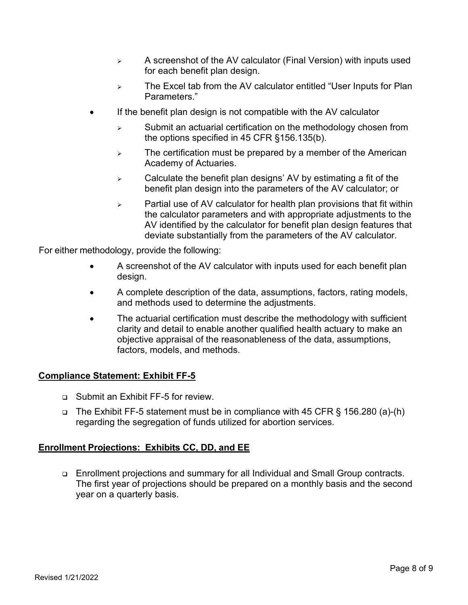- $\triangleright$  A screenshot of the AV calculator (Final Version) with inputs used for each benefit plan design.
- $\triangleright$  The Excel tab from the AV calculator entitled "User Inputs for Plan Parameters."
- If the benefit plan design is not compatible with the AV calculator
	- $\triangleright$  Submit an actuarial certification on the methodology chosen from the options specified in 45 CFR §156.135(b).
	- $\triangleright$  The certification must be prepared by a member of the American Academy of Actuaries.
	- $\triangleright$  Calculate the benefit plan designs' AV by estimating a fit of the benefit plan design into the parameters of the AV calculator; or
	- $\triangleright$  Partial use of AV calculator for health plan provisions that fit within the calculator parameters and with appropriate adjustments to the AV identified by the calculator for benefit plan design features that deviate substantially from the parameters of the AV calculator.

For either methodology, provide the following:

- A screenshot of the AV calculator with inputs used for each benefit plan design.
- A complete description of the data, assumptions, factors, rating models, and methods used to determine the adjustments.
- The actuarial certification must describe the methodology with sufficient clarity and detail to enable another qualified health actuary to make an objective appraisal of the reasonableness of the data, assumptions, factors, models, and methods.

### **Compliance Statement: Exhibit FF-5**

- Submit an Exhibit FF-5 for review.
- □ The Exhibit FF-5 statement must be in compliance with 45 CFR § 156.280 (a)-(h) regarding the segregation of funds utilized for abortion services.

### **Enrollment Projections: Exhibits CC, DD, and EE**

 Enrollment projections and summary for all Individual and Small Group contracts. The first year of projections should be prepared on a monthly basis and the second year on a quarterly basis.